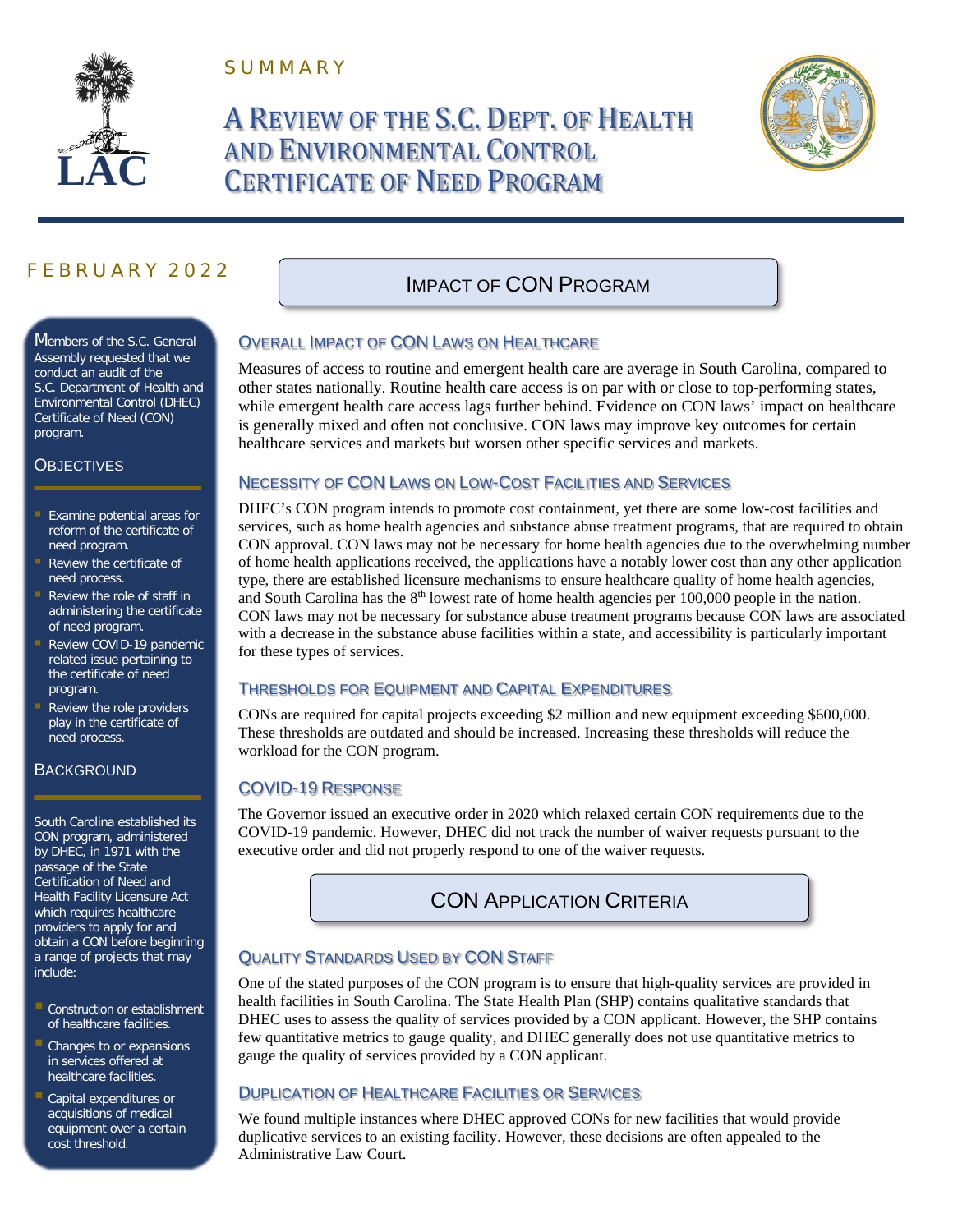

S U M M A R Y

# A REVIEW OF THE S.C. DEPT. OF HEALTH AND ENVIRONMENTAL CONTROL CERTIFICATE OF NEED PROGRAM



# F E B R U A R Y 2 0 2 2

Members of the S.C. General Assembly requested that we conduct an audit of the S.C. Department of Health and Environmental Control (DHEC) Certificate of Need (CON) program.

### **OBJECTIVES**

- **Examine potential areas for** reform of the certificate of need program.
- Review the certificate of need process.
- Review the role of staff in administering the certificate of need program.
- Review COVID-19 pandemic related issue pertaining to the certificate of need program.
- Review the role providers play in the certificate of need process.

### **BACKGROUND**

South Carolina established its CON program, administered by DHEC, in 1971 with the passage of the State Certification of Need and Health Facility Licensure Act which requires healthcare providers to apply for and obtain a CON before beginning a range of projects that may include:

- **Construction or establishment** of healthcare facilities.
- Changes to or expansions in services offered at healthcare facilities.
- **Capital expenditures or** acquisitions of medical equipment over a certain cost threshold.

# IMPACT OF CON PROGRAM

### OVERALL IMPACT OF CON LAWS ON HEALTHCARE

Measures of access to routine and emergent health care are average in South Carolina, compared to other states nationally. Routine health care access is on par with or close to top-performing states, while emergent health care access lags further behind. Evidence on CON laws' impact on healthcare is generally mixed and often not conclusive. CON laws may improve key outcomes for certain healthcare services and markets but worsen other specific services and markets.

### NECESSITY OF CON LAWS ON LOW-COST FACILITIES AND SERVICES

DHEC's CON program intends to promote cost containment, yet there are some low-cost facilities and services, such as home health agencies and substance abuse treatment programs, that are required to obtain CON approval. CON laws may not be necessary for home health agencies due to the overwhelming number of home health applications received, the applications have a notably lower cost than any other application type, there are established licensure mechanisms to ensure healthcare quality of home health agencies, and South Carolina has the 8<sup>th</sup> lowest rate of home health agencies per 100,000 people in the nation. CON laws may not be necessary for substance abuse treatment programs because CON laws are associated with a decrease in the substance abuse facilities within a state, and accessibility is particularly important for these types of services.

### THRESHOLDS FOR EQUIPMENT AND CAPITAL EXPENDITURES

CONs are required for capital projects exceeding \$2 million and new equipment exceeding \$600,000. These thresholds are outdated and should be increased. Increasing these thresholds will reduce the workload for the CON program.

### COVID-19 RESPONSE

The Governor issued an executive order in 2020 which relaxed certain CON requirements due to the COVID-19 pandemic. However, DHEC did not track the number of waiver requests pursuant to the executive order and did not properly respond to one of the waiver requests.

# CON APPLICATION CRITERIA

### QUALITY STANDARDS USED BY CON STAFF

One of the stated purposes of the CON program is to ensure that high-quality services are provided in health facilities in South Carolina. The State Health Plan (SHP) contains qualitative standards that DHEC uses to assess the quality of services provided by a CON applicant. However, the SHP contains few quantitative metrics to gauge quality, and DHEC generally does not use quantitative metrics to gauge the quality of services provided by a CON applicant.

### DUPLICATION OF HEALTHCARE FACILITIES OR SERVICES

We found multiple instances where DHEC approved CONs for new facilities that would provide duplicative services to an existing facility. However, these decisions are often appealed to the Administrative Law Court.